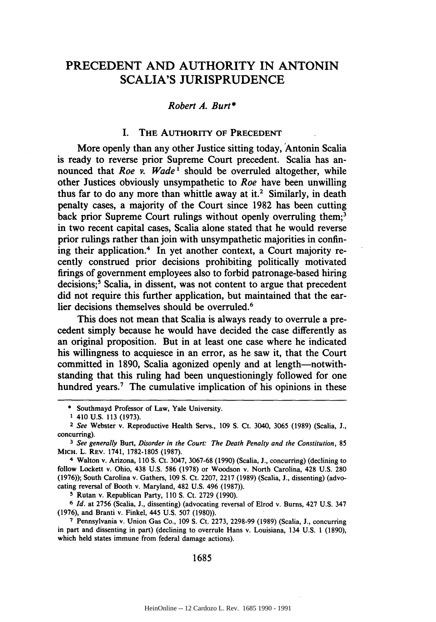# PRECEDENT AND AUTHORITY IN ANTONIN SCALIA'S JURISPRUDENCE

## *Robert A. Burt\**

## I. THE **AUTHORITY OF PRECEDENT**

More openly than any other Justice sitting today, 'Antonin Scalia is ready to reverse prior Supreme Court precedent. Scalia has announced that *Roe v. Wade'* should be overruled altogether, while other Justices obviously unsympathetic to *Roe* have been unwilling thus far to do any more than whittle away at it.<sup>2</sup> Similarly, in death penalty cases, a majority of the Court since **1982** has been cutting back prior Supreme Court rulings without openly overruling them;<sup>3</sup> in two recent capital cases, Scalia alone stated that he would reverse prior rulings rather than join with unsympathetic majorities in confining their application.4 In yet another context, a Court majority recently construed prior decisions prohibiting politically motivated firings of government employees also to forbid patronage-based hiring decisions;<sup>5</sup> Scalia, in dissent, was not content to argue that precedent did not require this further application, but maintained that the earlier decisions themselves should be overruled.<sup>6</sup>

This does not mean that Scalia is always ready to overrule a precedent simply because he would have decided the case differently as an original proposition. But in at least one case where he indicated his willingness to acquiesce in an error, as he saw it, that the Court committed in **1890,** Scalia agonized openly and at length-notwithstanding that this ruling had been unquestioningly followed for one hundred years.<sup>7</sup> The cumulative implication of his opinions in these

**S** Rutan v. Republican Party, **110 S.** Ct. **2729 (1990).**

**6** *Id.* at **2756** (Scalia, **J.,** dissenting) (advocating reversal of Elrod v. Burns, 427 **U.S.** 347 **(1976),** and Branti v. Finkel, 445 **U.S. 507 (1980)).**

**7** Pennsylvania v. Union Gas Co., **109 S.** Ct. **2273, 2298-99 (1989)** (Scalia, **J.,** concurring in part and dissenting in part) (declining to overrule Hans v. Louisiana, 134 **U.S. 1 (1890),** which held states immune from federal damage actions).

#### 1685

<sup>\*</sup> Southmayd Professor of Law, Yale University.

**<sup>1</sup>** 410 **U.S. 113 (1973).**

*<sup>2</sup> See* Webster v. Reproductive Health Servs., **109 S.** Ct. 3040, **3065 (1989)** (Scalia, **J.,** concurring).

*<sup>3</sup>* See generally **Burt,** Disorder in the Court: The Death Penalty and the *Constitution,* **85** MICH. L. REV. 1741, **1782-1805 (1987).**

<sup>4</sup> Walton v. Arizona, **110 S.** Ct. 3047, **3067-68 (1990)** (Scalia, **J.,** concurring) (declining to follow Lockett v. Ohio, 438 **U.S. 586 (1978)** or Woodson v. North Carolina, 428 **U.S. 280 (1976));** South Carolina v. Gathers, **109 S.** Ct. **2207, 2217 (1989)** (Scalia, **J.,** dissenting) (advocating reversal of Booth v. Maryland, 482 **U.S.** 496 **(1987)).**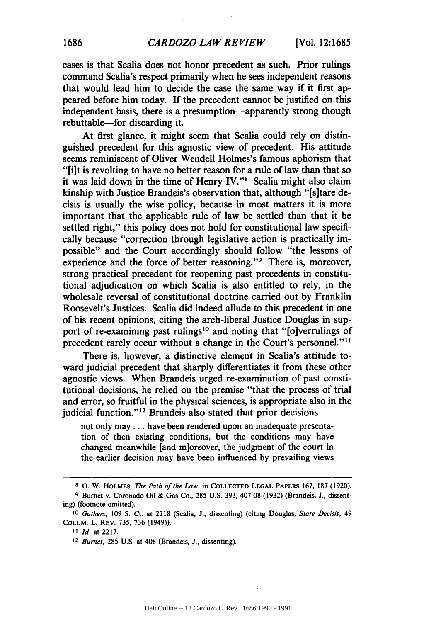cases is that Scalia does not honor precedent as such. Prior rulings command Scalia's respect primarily when he sees independent reasons that would lead him to decide the case the same way if it first appeared before him today. **If** the precedent cannot be justified on this independent basis, there is a presumption—apparently strong though rebuttable-for discarding it.

At first glance, it might seem that Scalia could rely on distinguished precedent for this agnostic view of precedent. His attitude seems reminiscent of Oliver Wendell Holmes's famous aphorism that **"[i]t** is revolting to have no better reason for a rule of law than that so it was laid down in the time of Henry IV."<sup>8</sup> Scalia might also claim kinship with Justice Brandeis's observation that, although "[s]tare decisis is usually the wise policy, because in most matters it is more important that the applicable rule of law be settled than that it be settled right," this policy does not hold for constitutional law specifically because "correction through legislative action is practically impossible" and the Court accordingly should follow "the lessons of experience and the force of better reasoning."<sup>9</sup> There is, moreover, strong practical precedent for reopening past precedents in constitutional adjudication on which Scalia is also entitled to rely, in the wholesale reversal of constitutional doctrine carried out **by** Franklin Roosevelt's Justices. Scalia did indeed allude to this precedent in one of his recent opinions, citing the arch-liberal Justice Douglas in support of re-examining past rulings<sup>10</sup> and noting that "[o]verrulings of precedent rarely occur without a change in the Court's personnel.""

There is, however, a distinctive element in Scalia's attitude toward judicial precedent that sharply differentiates it from these other agnostic views. When Brandeis urged re-examination of past constitutional decisions, he relied on the premise "that the process of trial and error, so fruitful in the physical sciences, is appropriate also in the judicial function."<sup>12</sup> Brandeis also stated that prior decisions

not only may... have been rendered upon an inadequate presentation of then existing conditions, but the conditions may have changed meanwhile [and m]oreover, the judgment of the court in the earlier decision may have been influenced **by** prevailing views

**<sup>8 0.</sup>** W. **HOLMES,** *The Path of the Law,* in **COLLECTED LEGAL PAPERS 167, 187 (1920).**

**<sup>9</sup>** Burnet v. Coronado Oil **&** Gas Co., 285 U.S. **393,** 407-08 **(1932)** (Brandeis, **J.,** dissenting) (footnote omitted).

*<sup>10</sup>Gathers,* **109 S.** Ct. at 2218 (Scalia, **J.,** dissenting) (citing Douglas, *Stare Decisis, 49* **COLUM.** L. **REV. 735, 736** (1949)).

*<sup>11</sup>Id.* at **2217.**

*<sup>12</sup> Burnet,* 285 U.S. at 408 (Brandeis, **J.,** dissenting).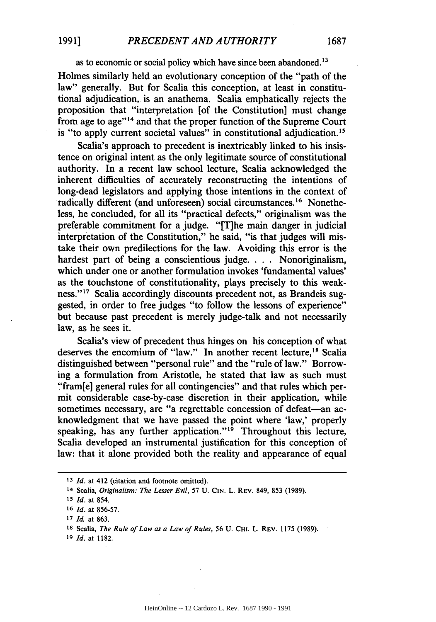as to economic or social policy which have since been abandoned.<sup>13</sup>

Holmes similarly held an evolutionary conception of the "path of the law" generally. But for Scalia this conception, at least in constitutional adjudication, is an anathema. Scalia emphatically rejects the proposition that "interpretation [of the Constitution] must change from age to age"<sup>14</sup> and that the proper function of the Supreme Court is "to apply current societal values" in constitutional adjudication.<sup>15</sup>

Scalia's approach to precedent is inextricably linked to his insistence on original intent as the only legitimate source of constitutional authority. In a recent law school lecture, Scalia acknowledged the inherent difficulties of accurately reconstructing the intentions of long-dead legislators and applying those intentions in the context of radically different (and unforeseen) social circumstances.<sup>16</sup> Nonetheless, he concluded, for all its "practical defects," originalism was the preferable commitment for a judge. "[T]he main danger in judicial interpretation of the Constitution," he said, "is that judges will mistake their own predilections for the law. Avoiding this error is the hardest part of being a conscientious judge. . **.** . Nonoriginalism, which under one or another formulation invokes 'fundamental values' as the touchstone of constitutionality, plays precisely to this weakness."<sup>17</sup> Scalia accordingly discounts precedent not, as Brandeis suggested, in order to free judges "to follow the lessons of experience" but because past precedent is merely judge-talk and not necessarily law, as he sees it.

Scalia's view of precedent thus hinges on his conception of what deserves the encomium of "law." In another recent lecture,<sup>18</sup> Scalia distinguished between "personal rule" and the "rule of law." Borrowing a formulation from Aristotle, he stated that law as such must "fram[e] general rules for all contingencies" and that rules which permit considerable case-by-case discretion in their application, while sometimes necessary, are "a regrettable concession of defeat-an acknowledgment that we have passed the point where 'law,' properly speaking, has any further application." $\mathbf{P}$ <sup>9</sup> Throughout this lecture, Scalia developed an instrumental justification for this conception of law: that it alone provided both the reality and appearance of equal

**<sup>13</sup>***Id.* at 412 (citation and footnote omitted).

<sup>14</sup> Scalia, *Originalism: The Lesser Evil,* **57** U. **CIN.** L. REV. 849, **853** (1989).

**<sup>15</sup>***Id.* at 854.

**<sup>16</sup>***Id.* at 856-57.

**<sup>17</sup>***Id.* at 863.

<sup>&</sup>lt;sup>18</sup> Scalia, *The Rule of Law as a Law of Rules*, 56 U. CHI. L. REV. 1175 (1989).

**<sup>19</sup>** *Id.* at 1182.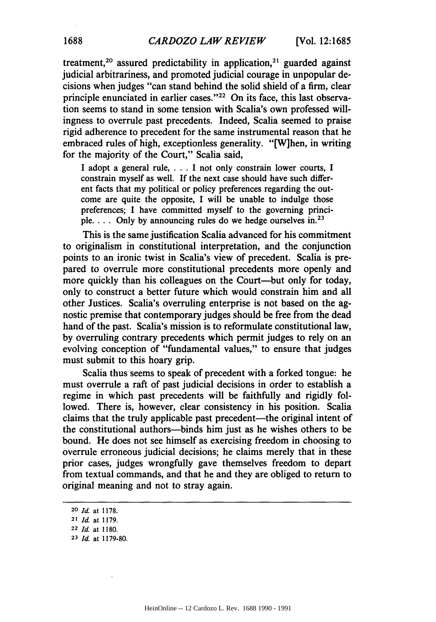treatment,<sup>20</sup> assured predictability in application,<sup>21</sup> guarded against judicial arbitrariness, and promoted judicial courage in unpopular decisions when judges "can stand behind the solid shield of a firm, clear principle enunciated in earlier cases."<sup>22</sup> On its face, this last observation seems to stand in some tension with Scalia's own professed willingness to overrule past precedents. Indeed, Scalia seemed to praise rigid adherence to precedent for the same instrumental reason that he embraced rules of high, exceptionless generality. "[W]hen, in writing for the majority of the Court," Scalia said,

I adopt a general rule, . . . I not only constrain lower courts, I constrain myself as well. If the next case should have such different facts that my political or policy preferences regarding the outcome are quite the opposite, I will be unable to indulge those preferences; **I** have committed myself to the governing principle.  $\ldots$  Only by announcing rules do we hedge ourselves in.<sup>23</sup>

This is the same justification Scalia advanced for his commitment to originalism in constitutional interpretation, and the conjunction points to an ironic twist in Scalia's view of precedent. Scalia is prepared to overrule more constitutional precedents more openly and more quickly than his colleagues on the Court—but only for today, only to construct a better future which would constrain him and all other Justices. Scalia's overruling enterprise is not based on the agnostic premise that contemporary judges should be free from the dead hand of the past. Scalia's mission is to reformulate constitutional law, by overruling contrary precedents which permit judges to rely on an evolving conception of "fundamental values," to ensure that judges must submit to this hoary grip.

Scalia thus seems to speak of precedent with a forked tongue: he must overrule a raft of past judicial decisions in order to establish a regime in which past precedents will be faithfully and rigidly followed. There is, however, clear consistency in his position. Scalia claims that the truly applicable past precedent—the original intent of the constitutional authors-binds him just as he wishes others to be bound. He does not see himself as exercising freedom in choosing to overrule erroneous judicial decisions; he claims merely that in these prior cases, judges wrongfully gave themselves freedom to depart from textual commands, and that he and they are obliged to return to original meaning and not to stray again.

<sup>20</sup> *Id.* at 1178.

<sup>21</sup> Id. at 1179.

<sup>22</sup> Id. at 1180.

**<sup>23</sup>** Id. at 1179-80.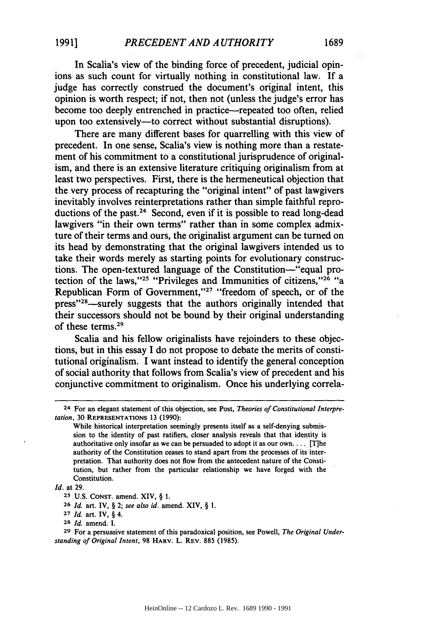In Scalia's view of the binding force of precedent, judicial opinions as such count for virtually nothing in constitutional law. If a judge has correctly construed the document's original intent, this opinion is worth respect; if not, then not (unless the judge's error has become too deeply entrenched in practice—repeated too often, relied upon too extensively—to correct without substantial disruptions).

There are many different bases for quarrelling with this view of precedent. In one sense, Scalia's view is nothing more than a restatement of his commitment to a constitutional jurisprudence of originalism, and there is an extensive literature critiquing originalism from at least two perspectives. First, there is the hermeneutical objection that the very process of recapturing the "original intent" of past lawgivers inevitably involves reinterpretations rather than simple faithful reproductions of the past.<sup>24</sup> Second, even if it is possible to read long-dead lawgivers "in their own terms" rather than in some complex admixture of their terms and ours, the originalist argument can be turned on its head by demonstrating that the original lawgivers intended us to take their words merely as starting points for evolutionary constructions. The open-textured language of the Constitution-"equal protection of the laws,"<sup>25</sup> "Privileges and Immunities of citizens,"<sup>26</sup> "a Republican Form of Government,"<sup>27</sup> "freedom of speech, or of the press"<sup>28</sup>—surely suggests that the authors originally intended that their successors should not be bound by their original understanding of these terms.29

Scalia and his fellow originalists have rejoinders to these objections, but in this essay I do not propose to debate the merits of constitutional originalism. I want instead to identify the general conception of social authority that follows from Scalia's view of precedent and his conjunctive commitment to originalism. Once his underlying correla-

<sup>24</sup> For an elegant statement of this objection, see Post, *Theories of Constitutional Interpretation,* **30 REPRESENTATIONS 13 (1990):**

**While** historical interpretation seemingly presents itself as a self-denying submission to the identity of past ratifiers, closer analysis reveals that that identity is authoritative only insofar as we can be persuaded to adopt it as our own.... [T]he authority of the Constitution ceases to stand apart from the processes of its interpretation. That authority does not flow from the antecedent nature of the Constitution, but rather from the particular relationship we have forged with the Constitution.

*Id.* at **29.**

**<sup>25</sup> U.S. CONST.** amend. XIV, § **1.**

**<sup>26</sup> Id.** art. IV, § 2; *see also id.* amend. XIV, § **1.**

**<sup>27</sup>** *Id.* art. IV, § 4.

**<sup>28</sup>***Id.* amend. I.

**<sup>29</sup>** For a persuasive statement of this paradoxical position, see Powell, *The Original Understanding of Original Intent,* **98 HARV.** L. **REV. 885 (1985).**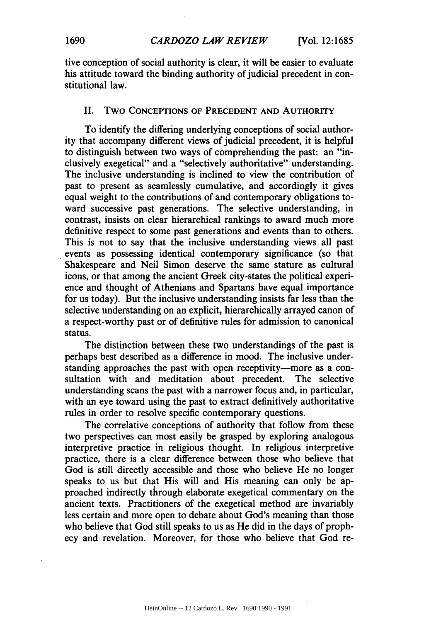tive conception of social authority is clear, it will be easier to evaluate his attitude toward the binding authority of judicial precedent in constitutional law.

### II. Two **CONCEPTIONS OF PRECEDENT AND AUTHORITY**

To identify the differing underlying conceptions of social authority that accompany different views of judicial precedent, it is helpful to distinguish between two ways of comprehending the past: an "inclusively exegetical" and a "selectively authoritative" understanding. The inclusive understanding is inclined to view the contribution of past to present as seamlessly cumulative, and accordingly it gives equal weight to the contributions of and contemporary obligations toward successive past generations. The selective understanding, in contrast, insists **on** clear hierarchical rankings to award much more definitive respect to some past generations and events than to others. This is not to say that the inclusive understanding views all past events as possessing identical contemporary significance (so that Shakespeare and Neil Simon deserve the same stature as cultural icons, or that among the ancient Greek city-states the political experience and thought of Athenians and Spartans have equal importance for us today). But the inclusive understanding insists far less than the selective understanding on an explicit, hierarchically arrayed canon of a respect-worthy past or of definitive rules for admission to canonical status.

The distinction between these two understandings of the past is perhaps best described as a difference in mood. The inclusive understanding approaches the past with open receptivity-more as a consultation with and meditation about precedent. The selective understanding scans the past with a narrower focus and, in particular, with an eye toward using the past to extract definitively authoritative rules in order to resolve specific contemporary questions.

The correlative conceptions of authority that follow from these two perspectives can most easily be grasped **by** exploring analogous interpretive practice in religious thought. In religious interpretive practice, there is a clear difference between those who believe that God is still directly accessible and those who believe He no longer speaks to us but that His will and His meaning can only be approached indirectly through elaborate exegetical commentary on the ancient texts. Practitioners of the exegetical method are invariably less certain and more open to debate about God's meaning than those who believe that God still speaks to us as He did in the days of prophecy and revelation. Moreover, for those who believe that God re-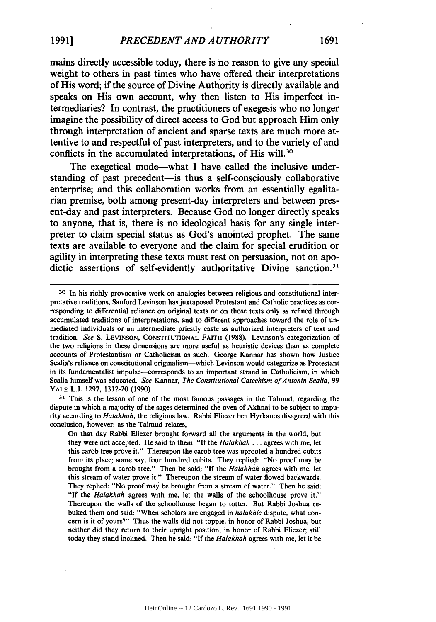mains directly accessible today, there is no reason to give any special weight to others in past times who have offered their interpretations of His word; if the source of Divine Authority is directly available and speaks on His own account, why then listen to His imperfect intermediaries? In contrast, the practitioners of exegesis who no longer imagine the possibility of direct access to God but approach Him only through interpretation of ancient and sparse texts are much more attentive to and respectful of past interpreters, and to the variety of and conflicts in the accumulated interpretations, of His will.<sup>30</sup>

The exegetical mode-what **I** have called the inclusive understanding of past precedent-is thus a self-consciously collaborative enterprise; and this collaboration works from an essentially egalitarian premise, both among present-day interpreters and between present-day and past interpreters. Because God no longer directly speaks to anyone, that is, there is no ideological basis for any single interpreter to claim special status as God's anointed prophet. The same texts are available to everyone and the claim for special erudition or agility in interpreting these texts must rest on persuasion, not on apodictic assertions of self-evidently authoritative Divine sanction.<sup>31</sup>

**<sup>31</sup>**This is the lesson of one of the most famous passages in the Talmud, regarding the dispute in which a majority of the sages determined the oven of Akhnai to be subject to impurity according to *Halakhah,* the religious law. Rabbi Eliezer ben Hyrkanos disagreed with this conclusion, however; as the Talmud relates,

On that day Rabbi Eliezer brought forward all the arguments in the world, but they were not accepted. He said to them: "If the *Halakhah* ... agrees with me, let this carob tree prove it." Thereupon the carob tree was uprooted a hundred cubits from its place; some say, four hundred cubits. They replied: "No proof may be brought from a carob tree." Then he said: **"If** the *Halakhah* agrees with me, let this stream of water prove it." Thereupon the stream of water flowed backwards. They replied: "No proof may be brought from a stream of water." Then he said: "If the *Halakhah* agrees with me, let the walls of the schoolhouse prove it." Thereupon the walls of the schoolhouse began to totter. But Rabbi Joshua rebuked them and said: "When scholars are engaged in *halakhic* dispute, what concern is it of yours?" Thus the walls did not topple, in honor of Rabbi Joshua, but neither did they return to their upright position, in honor of Rabbi Eliezer; still today they stand inclined. Then he said: "If the *Halakhah* agrees with me, let it be

**<sup>30</sup>** In his richly provocative work on analogies between religious and constitutional interpretative traditions, Sanford Levinson has juxtaposed Protestant and Catholic practices as corresponding to differential reliance on original texts or on those texts only as refined through accumulated traditions of interpretations, and to different approaches toward the role of un mediated individuals or an intermediate priestly caste as authorized interpreters of text and tradition. *See* **S.** LEVINSON, **CONSTITUTIONAL** FAITH (1988). Levinson's categorization of the two religions in these dimensions are more useful as heuristic devices than as complete accounts of Protestantism or Catholicism as such. George Kannar has shown how Justice Scalia's reliance on constitutional originalism-which Levinson would categorize as Protestant in its fundamentalist impulse—corresponds to an important strand in Catholicism, in which Scalia himself was educated. *See* Kannar, *The Constitutional Catechism of Antonin Scalia,* **99** YALE L.J. **1297,** 1312-20 (1990).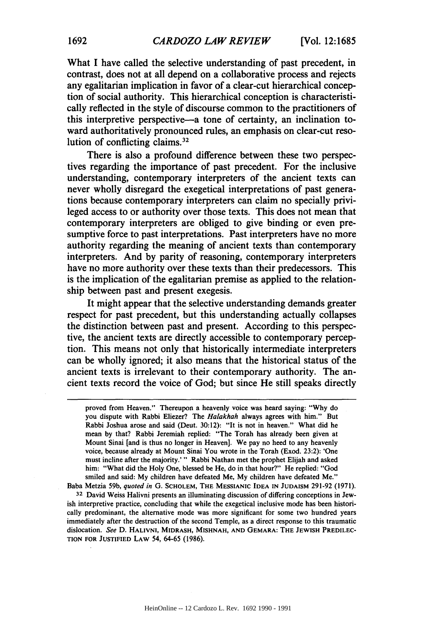What I have called the selective understanding of past precedent, in contrast, does not at all depend on a collaborative process and rejects any egalitarian implication in favor of a clear-cut hierarchical conception of social authority. This hierarchical conception is characteristically reflected in the style of discourse common to the practitioners of this interpretive perspective-a tone of certainty, an inclination toward authoritatively pronounced rules, an emphasis on clear-cut resolution of conflicting claims. $32$ 

There is also a profound difference between these two perspectives regarding the importance of past precedent. For the inclusive understanding, contemporary interpreters of the ancient texts can never wholly disregard the exegetical interpretations of past generations because contemporary interpreters can claim no specially privileged access to or authority over those texts. This does not mean that contemporary interpreters are obliged to give binding or even presumptive force to past interpretations. Past interpreters have no more authority regarding the meaning of ancient texts than contemporary interpreters. And by parity of reasoning, contemporary interpreters have no more authority over these texts than their predecessors. This is the implication of the egalitarian premise as applied to the relationship between past and present exegesis.

It might appear that the selective understanding demands greater respect for past precedent, but this understanding actually collapses the distinction between past and present. According to this perspective, the ancient texts are directly accessible to contemporary perception. This means not only that historically intermediate interpreters can be wholly ignored; it also means that the historical status of the ancient texts is irrelevant to their contemporary authority. The ancient texts record the voice of God; but since He still speaks directly

Baba Metzia 59b, *quoted in* **G. SCHOLEM, THE MESSIANIC IDEA IN** JUDAISM 291-92 (1971). **32** David Weiss Halivni presents an illuminating discussion of differing conceptions in Jewish interpretive practice, concluding that while the exegetical inclusive mode has been historically predominant, the alternative mode was more significant for some two hundred years immediately after the destruction of the second Temple, as a direct response to this traumatic dislocation. *See* **D. HALIVNI, MIDRASH, MISHNAH, AND GEMARA: THE JEWISH PREDILEC-TION FOR JUSTIFIED** LAW 54, **64-65** (1986).

proved from Heaven." Thereupon a heavenly voice was heard saying: **"Why** do you dispute with Rabbi Eliezer? The *Halakhah* always agrees with him." But Rabbi Joshua arose and said (Deut. **30:12):** "It is not in heaven." What did **he** mean **by** that? Rabbi Jeremiah replied: "The Torah has already been given at Mount Sinai [and is thus no longer in Heaven]. We pay no heed to any heavenly voice, because already at Mount Sinai You wrote in the Torah (Exod. **23:2):** 'One must incline after the majority.' " Rabbi Nathan met the prophet Elijah and asked him: "What did the Holy One, blessed be He, do in that hour?" He replied: "God smiled and said: **My** children have defeated Me, **My** children have defeated Me."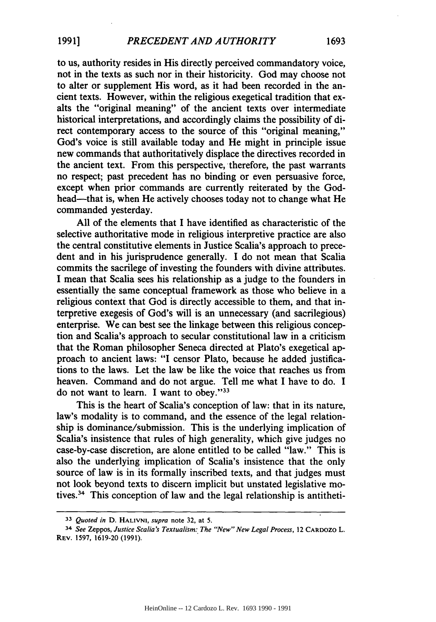to us, authority resides in His directly perceived commandatory voice, not in the texts as such nor in their historicity. God may choose not to alter or supplement His word, as it had been recorded in the ancient texts. However, within the religious exegetical tradition that exalts the "original meaning" of the ancient texts over intermediate historical interpretations, and accordingly claims the possibility of direct contemporary access to the source of this "original meaning," God's voice is still available today and He might in principle issue new commands that authoritatively displace the directives recorded in the ancient text. From this perspective, therefore, the past warrants no respect; past precedent has no binding or even persuasive force, except when prior commands are currently reiterated by the Godhead—that is, when He actively chooses today not to change what He commanded yesterday.

All of the elements that I have identified as characteristic of the selective authoritative mode in religious interpretive practice are also the central constitutive elements in Justice Scalia's approach to precedent and in his jurisprudence generally. I do not mean that Scalia commits the sacrilege of investing the founders with divine attributes. I mean that Scalia sees his relationship as a judge to the founders in essentially the same conceptual framework as those who believe in a religious context that God is directly accessible to them, and that interpretive exegesis of God's will is an unnecessary (and sacrilegious) enterprise. We can best see the linkage between this religious conception and Scalia's approach to secular constitutional law in a criticism that the Roman philosopher Seneca directed at Plato's exegetical approach to ancient laws: "I censor Plato, because he added justifications to the laws. Let the law be like the voice that reaches us from heaven. Command and do not argue. Tell me what I have to do. I do not want to learn. I want to obey."<sup>33</sup>

This is the heart of Scalia's conception of law: that in its nature, law's modality is to command, and the essence of the legal relationship is dominance/submission. This is the underlying implication of Scalia's insistence that rules of high generality, which give judges no case-by-case discretion, are alone entitled to be called "law." This is also the underlying implication of Scalia's insistence that the only source of law is in its formally inscribed texts, and that judges must not look beyond texts to discern implicit but unstated legislative motives.<sup>34</sup> This conception of law and the legal relationship is antitheti-

**<sup>33</sup>** *Quoted in* D. **HALIVNI,** *supra* note **32,** at 5.

<sup>34</sup> *See* Zeppos, *Justice Scalia's Textualism: The "New" New Legal Process,* 12 CARDOZO L. REV. 1597, 1619-20 (1991).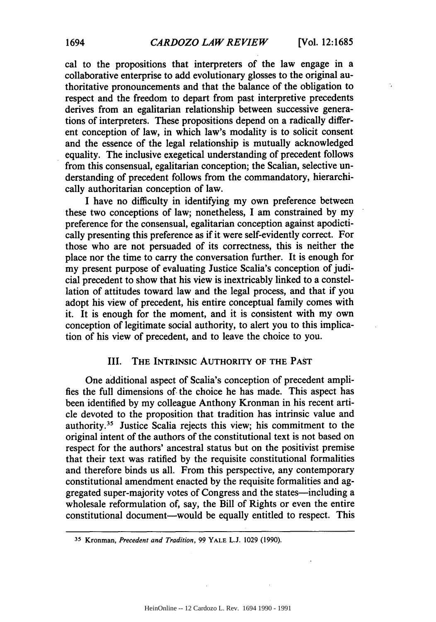$\ddot{\phantom{a}}$ 

cal to the propositions that interpreters of the law engage in a collaborative enterprise to add evolutionary glosses to the original authoritative pronouncements and that the balance of the obligation to respect and the freedom to depart from past interpretive precedents derives from an egalitarian relationship between successive generations of interpreters. These propositions depend on a radically different conception of law, in which law's modality is to solicit consent and the essence of the legal relationship is mutually acknowledged equality. The inclusive exegetical understanding of precedent follows from this consensual, egalitarian conception; the Scalian, selective understanding of precedent follows from the commandatory, hierarchically authoritarian conception of law.

I have no difficulty in identifying my own preference between these two conceptions of law; nonetheless, I am constrained by my preference for the consensual, egalitarian conception against apodictically presenting this preference as if it were self-evidently correct. For those who are not persuaded of its correctness, this is neither the place nor the time to carry the conversation further. It is enough for my present purpose of evaluating Justice Scalia's conception of judicial precedent to show that his view is inextricably linked to a constellation of attitudes toward law and the legal process, and that if you adopt his view of precedent, his entire conceptual family comes with it. It is enough for the moment, and it is consistent with my own conception of legitimate social authority, to alert you to this implication of his view of precedent, and to leave the choice to you.

## **III. THE INTRINSIC AUTHORITY OF THE PAST**

One additional aspect of Scalia's conception of precedent amplifies the full dimensions of. the choice he has made. This aspect has been identified **by** my colleague Anthony Kronman in his recent article devoted to the proposition that tradition has intrinsic value and authority.<sup>35</sup> Justice Scalia rejects this view; his commitment to the original intent of the authors of the constitutional text is not based on respect for the authors' ancestral status but on the positivist premise that their text was ratified **by** the requisite constitutional formalities and therefore binds us all. From this perspective, any contemporary constitutional amendment enacted **by** the requisite formalities and aggregated super-majority votes of Congress and the states-including a wholesale reformulation of, say, the Bill of Rights or even the entire constitutional document-would be equally entitled to respect. This

**<sup>35</sup>** Kronman, *Precedent and Tradition,* 99 YALE **L.J.** 1029 (1990).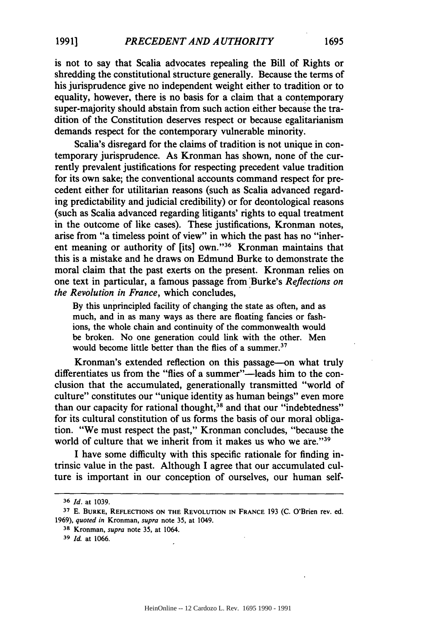is not to say that Scalia advocates repealing the Bill of Rights or shredding the constitutional structure generally. Because the terms of his jurisprudence give no independent weight either to tradition or to equality, however, there is no basis for a claim that a contemporary super-majority should abstain from such action either because the tradition of the Constitution deserves respect or because egalitarianism demands respect for the contemporary vulnerable minority.

Scalia's disregard for the claims of tradition is not unique in contemporary jurisprudence. As Kronman has shown, none of the currently prevalent justifications for respecting precedent value tradition for its own sake; the conventional accounts command respect for precedent either for utilitarian reasons (such as Scalia advanced regarding predictability and judicial credibility) or for deontological reasons (such as Scalia advanced regarding litigants' rights to equal treatment in the outcome of like cases). These justifications, Kronman notes, arise from "a timeless point of view" in which the past has no "inherent meaning or authority of [its] own."<sup>36</sup> Kronman maintains that this is a mistake and he draws on Edmund Burke to demonstrate the moral claim that the past exerts on the present. Kronman relies on one text in particular, a famous passage from Burke's *Reflections on the Revolution in France,* which concludes,

By this unprincipled facility of changing the state as often, and as much, and in as many ways as there are floating fancies or fashions, the whole chain and continuity of the commonwealth would be broken. No one generation could link with the other. Men would become little better than the flies of a summer.<sup>37</sup>

Kronman's extended reflection on this passage-on what truly differentiates us from the "flies of a summer"-leads him to the conclusion that the accumulated, generationally transmitted "world of culture" constitutes our "unique identity as human beings" even more than our capacity for rational thought,<sup>38</sup> and that our "indebtedness" for its cultural constitution of us forms the basis of our moral obligation. "We must respect the past," Kronman concludes, "because the world of culture that we inherit from it makes us who we are."<sup>39</sup>

I have some difficulty with this specific rationale for finding intrinsic value in the past. Although I agree that our accumulated culture is important in our conception of ourselves, our human self-

**<sup>36</sup>** Id. at 1039.

**<sup>37</sup>** E. BURKE, **REFLECTIONS ON THE REVOLUTION** IN **FRANCE** 193 (C. O'Brien rev. ed. 1969), *quoted in* Kronman, *supra* note 35, at 1049.

**<sup>38</sup>** Kronman, *supra* note 35, at 1064.

*<sup>39</sup> Id.* at 1066.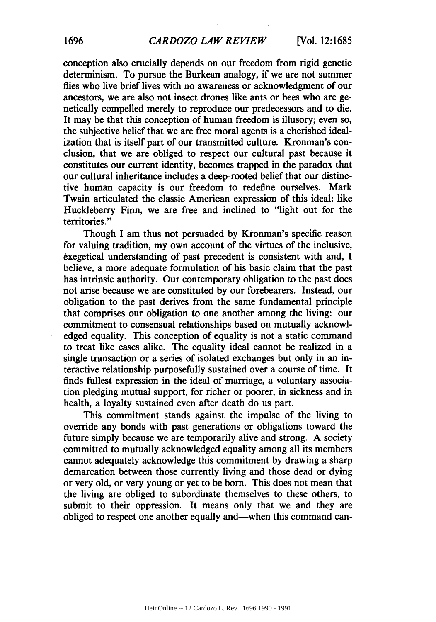conception also crucially depends on our freedom from rigid genetic determinism. To pursue the Burkean analogy, if we are not summer flies who live brief lives with no awareness or acknowledgment of our ancestors, we are also not insect drones like ants or bees who are genetically compelled merely to reproduce our predecessors and to die. It may be that this conception of human freedom is illusory; even so, the subjective belief that we are free moral agents is a cherished idealization that is itself part of our transmitted culture. Kronman's conclusion, that we are obliged to respect our cultural past because it constitutes our current identity, becomes trapped in the paradox that our cultural inheritance includes a deep-rooted belief that our distinctive human capacity is our freedom to redefine ourselves. Mark Twain articulated the classic American expression of this ideal: like Huckleberry Finn, we are free and inclined to "light out for the territories."

Though **I** am thus not persuaded **by** Kronman's specific reason for valuing tradition, my own account of the virtues of the inclusive, exegetical understanding of past precedent is consistent with and, I believe, a more adequate formulation of his basic claim that the past has intrinsic authority. Our contemporary obligation to the past does not arise because we are constituted **by** our forebearers. Instead, our obligation to the past derives from the same fundamental principle that comprises our obligation to one another among the living: our commitment to consensual relationships based on mutually acknowledged equality. This conception of equality is not a static command to treat like cases alike. The equality ideal cannot be realized in a single transaction or a series of isolated exchanges but only in an interactive relationship purposefully sustained over a course of time. It finds fullest expression in the ideal of marriage, a voluntary association pledging mutual support, for richer or poorer, in sickness and in health, a loyalty sustained even after death do us part.

This commitment stands against the impulse of the living to override any bonds with past generations or obligations toward the future simply because we are temporarily alive and strong. **A** society committed to mutually acknowledged equality among all its members cannot adequately acknowledge this commitment **by** drawing a sharp demarcation between those currently living and those dead or dying or very old, or very young or yet to be born. This does not mean that the living are obliged to subordinate themselves to these others, to submit to their oppression. It means only that we and they are obliged to respect one another equally and-when this command can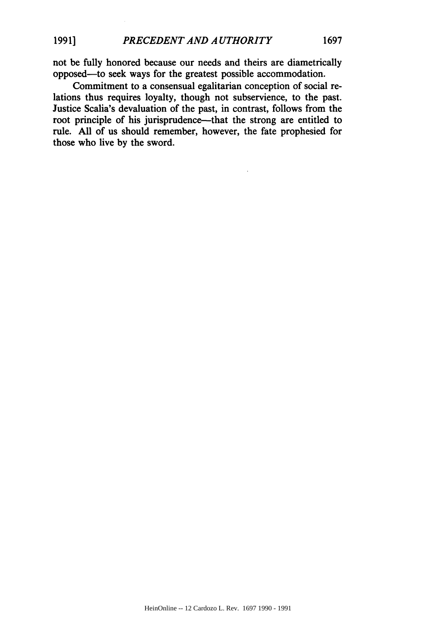not be fully honored because our needs and theirs are diametrically opposed-to seek ways for the greatest possible accommodation.

Commitment to a consensual egalitarian conception of social relations thus requires loyalty, though not subservience, to the past. Justice Scalia's devaluation of the past, in contrast, follows from the root principle of his jurisprudence-that the strong are entitled to rule. All of us should remember, however, the fate prophesied for those who live by the sword.